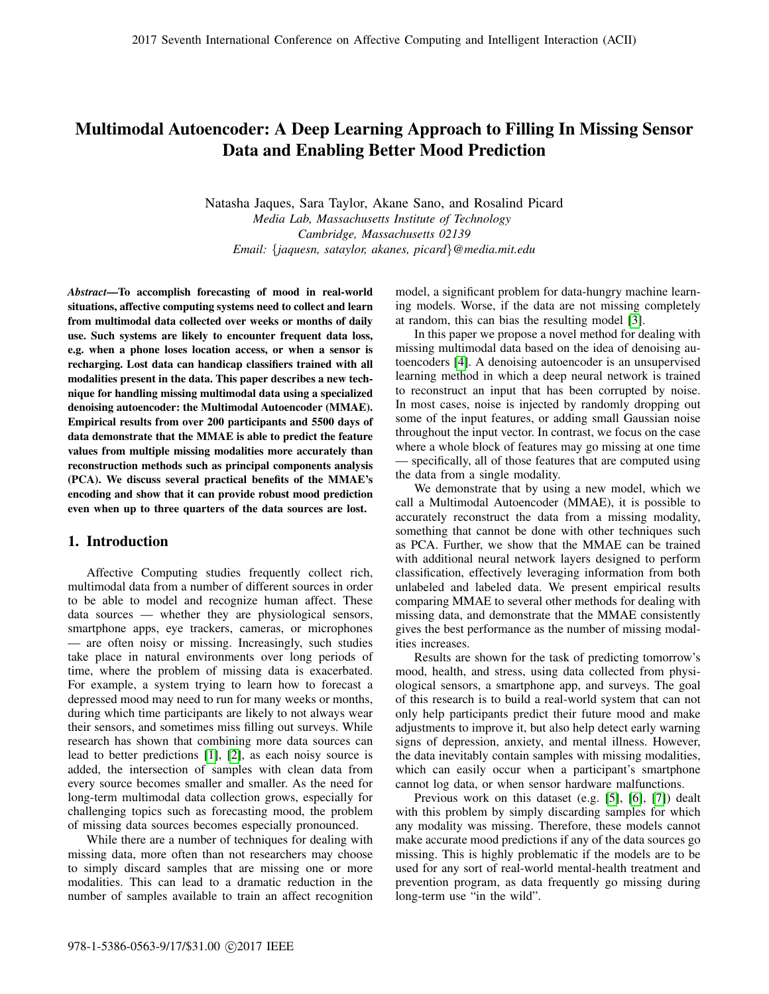# Multimodal Autoencoder: A Deep Learning Approach to Filling In Missing Sensor Data and Enabling Better Mood Prediction

Natasha Jaques, Sara Taylor, Akane Sano, and Rosalind Picard *Media Lab, Massachusetts Institute of Technology Cambridge, Massachusetts 02139 Email:* {*jaquesn, sataylor, akanes, picard*}*@media.mit.edu*

*Abstract*—To accomplish forecasting of mood in real-world situations, affective computing systems need to collect and learn from multimodal data collected over weeks or months of daily use. Such systems are likely to encounter frequent data loss, e.g. when a phone loses location access, or when a sensor is recharging. Lost data can handicap classifiers trained with all modalities present in the data. This paper describes a new technique for handling missing multimodal data using a specialized denoising autoencoder: the Multimodal Autoencoder (MMAE). Empirical results from over 200 participants and 5500 days of data demonstrate that the MMAE is able to predict the feature values from multiple missing modalities more accurately than reconstruction methods such as principal components analysis (PCA). We discuss several practical benefits of the MMAE's encoding and show that it can provide robust mood prediction even when up to three quarters of the data sources are lost.

# 1. Introduction

Affective Computing studies frequently collect rich, multimodal data from a number of different sources in order to be able to model and recognize human affect. These data sources — whether they are physiological sensors, smartphone apps, eye trackers, cameras, or microphones — are often noisy or missing. Increasingly, such studies take place in natural environments over long periods of time, where the problem of missing data is exacerbated. For example, a system trying to learn how to forecast a depressed mood may need to run for many weeks or months, during which time participants are likely to not always wear their sensors, and sometimes miss filling out surveys. While research has shown that combining more data sources can lead to better predictions [\[1\]](#page-6-0), [\[2\]](#page-6-1), as each noisy source is added, the intersection of samples with clean data from every source becomes smaller and smaller. As the need for long-term multimodal data collection grows, especially for challenging topics such as forecasting mood, the problem of missing data sources becomes especially pronounced.

While there are a number of techniques for dealing with missing data, more often than not researchers may choose to simply discard samples that are missing one or more modalities. This can lead to a dramatic reduction in the number of samples available to train an affect recognition model, a significant problem for data-hungry machine learning models. Worse, if the data are not missing completely at random, this can bias the resulting model [\[3\]](#page-6-2).

In this paper we propose a novel method for dealing with missing multimodal data based on the idea of denoising autoencoders [\[4\]](#page-6-3). A denoising autoencoder is an unsupervised learning method in which a deep neural network is trained to reconstruct an input that has been corrupted by noise. In most cases, noise is injected by randomly dropping out some of the input features, or adding small Gaussian noise throughout the input vector. In contrast, we focus on the case where a whole block of features may go missing at one time — specifically, all of those features that are computed using the data from a single modality.

We demonstrate that by using a new model, which we call a Multimodal Autoencoder (MMAE), it is possible to accurately reconstruct the data from a missing modality, something that cannot be done with other techniques such as PCA. Further, we show that the MMAE can be trained with additional neural network layers designed to perform classification, effectively leveraging information from both unlabeled and labeled data. We present empirical results comparing MMAE to several other methods for dealing with missing data, and demonstrate that the MMAE consistently gives the best performance as the number of missing modalities increases.

Results are shown for the task of predicting tomorrow's mood, health, and stress, using data collected from physiological sensors, a smartphone app, and surveys. The goal of this research is to build a real-world system that can not only help participants predict their future mood and make adjustments to improve it, but also help detect early warning signs of depression, anxiety, and mental illness. However, the data inevitably contain samples with missing modalities, which can easily occur when a participant's smartphone cannot log data, or when sensor hardware malfunctions.

Previous work on this dataset (e.g. [\[5\]](#page-6-4), [\[6\]](#page-6-5), [\[7\]](#page-6-6)) dealt with this problem by simply discarding samples for which any modality was missing. Therefore, these models cannot make accurate mood predictions if any of the data sources go missing. This is highly problematic if the models are to be used for any sort of real-world mental-health treatment and prevention program, as data frequently go missing during long-term use "in the wild".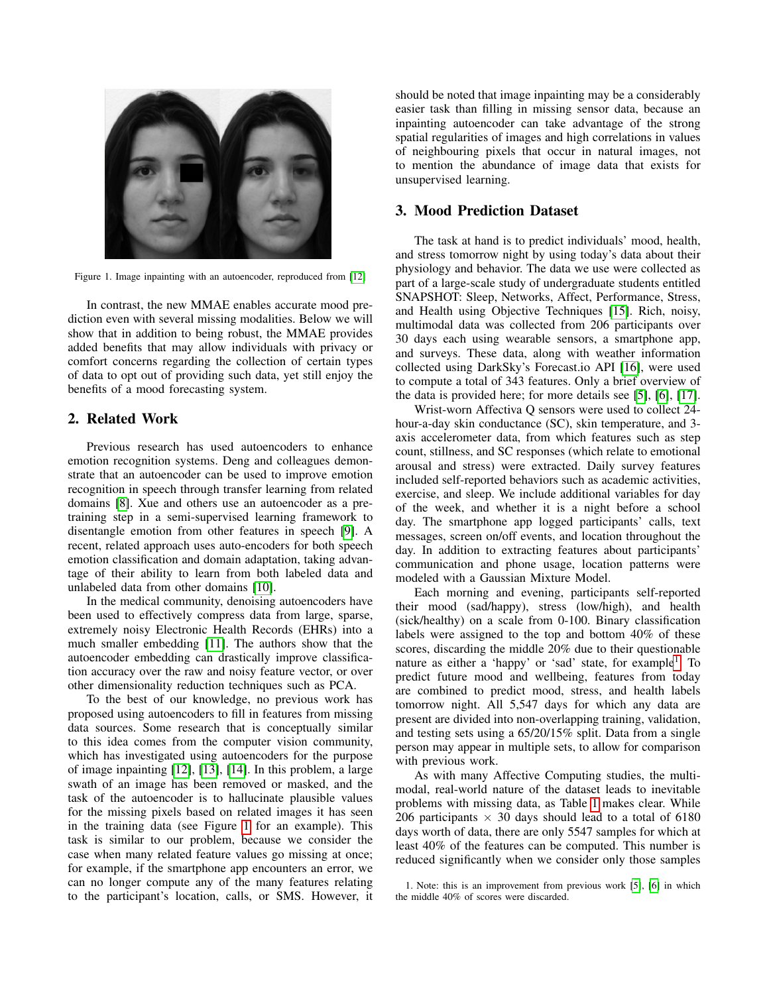

Figure 1. Image inpainting with an autoencoder, reproduced from [\[12\]](#page-6-7)

In contrast, the new MMAE enables accurate mood prediction even with several missing modalities. Below we will show that in addition to being robust, the MMAE provides added benefits that may allow individuals with privacy or comfort concerns regarding the collection of certain types of data to opt out of providing such data, yet still enjoy the benefits of a mood forecasting system.

# 2. Related Work

Previous research has used autoencoders to enhance emotion recognition systems. Deng and colleagues demonstrate that an autoencoder can be used to improve emotion recognition in speech through transfer learning from related domains [\[8\]](#page-6-8). Xue and others use an autoencoder as a pretraining step in a semi-supervised learning framework to disentangle emotion from other features in speech [\[9\]](#page-6-9). A recent, related approach uses auto-encoders for both speech emotion classification and domain adaptation, taking advantage of their ability to learn from both labeled data and unlabeled data from other domains [\[10\]](#page-6-10).

In the medical community, denoising autoencoders have been used to effectively compress data from large, sparse, extremely noisy Electronic Health Records (EHRs) into a much smaller embedding [\[11\]](#page-6-11). The authors show that the autoencoder embedding can drastically improve classification accuracy over the raw and noisy feature vector, or over other dimensionality reduction techniques such as PCA.

To the best of our knowledge, no previous work has proposed using autoencoders to fill in features from missing data sources. Some research that is conceptually similar to this idea comes from the computer vision community, which has investigated using autoencoders for the purpose of image inpainting [\[12\]](#page-6-7), [\[13\]](#page-6-12), [\[14\]](#page-6-13). In this problem, a large swath of an image has been removed or masked, and the task of the autoencoder is to hallucinate plausible values for the missing pixels based on related images it has seen in the training data (see Figure [1](#page-1-0) for an example). This task is similar to our problem, because we consider the case when many related feature values go missing at once; for example, if the smartphone app encounters an error, we can no longer compute any of the many features relating to the participant's location, calls, or SMS. However, it should be noted that image inpainting may be a considerably easier task than filling in missing sensor data, because an inpainting autoencoder can take advantage of the strong spatial regularities of images and high correlations in values of neighbouring pixels that occur in natural images, not to mention the abundance of image data that exists for unsupervised learning.

# 3. Mood Prediction Dataset

<span id="page-1-0"></span>The task at hand is to predict individuals' mood, health, and stress tomorrow night by using today's data about their physiology and behavior. The data we use were collected as part of a large-scale study of undergraduate students entitled SNAPSHOT: Sleep, Networks, Affect, Performance, Stress, and Health using Objective Techniques [\[15\]](#page-6-14). Rich, noisy, multimodal data was collected from 206 participants over 30 days each using wearable sensors, a smartphone app, and surveys. These data, along with weather information collected using DarkSky's Forecast.io API [\[16\]](#page-6-15), were used to compute a total of 343 features. Only a brief overview of the data is provided here; for more details see [\[5\]](#page-6-4), [\[6\]](#page-6-5), [\[17\]](#page-6-16).

Wrist-worn Affectiva Q sensors were used to collect 24 hour-a-day skin conductance (SC), skin temperature, and 3 axis accelerometer data, from which features such as step count, stillness, and SC responses (which relate to emotional arousal and stress) were extracted. Daily survey features included self-reported behaviors such as academic activities, exercise, and sleep. We include additional variables for day of the week, and whether it is a night before a school day. The smartphone app logged participants' calls, text messages, screen on/off events, and location throughout the day. In addition to extracting features about participants' communication and phone usage, location patterns were modeled with a Gaussian Mixture Model.

Each morning and evening, participants self-reported their mood (sad/happy), stress (low/high), and health (sick/healthy) on a scale from 0-100. Binary classification labels were assigned to the top and bottom 40% of these scores, discarding the middle 20% due to their questionable nature as either a 'happy' or 'sad' state, for example<sup>[1](#page-1-1)</sup>. To predict future mood and wellbeing, features from today are combined to predict mood, stress, and health labels tomorrow night. All 5,547 days for which any data are present are divided into non-overlapping training, validation, and testing sets using a 65/20/15% split. Data from a single person may appear in multiple sets, to allow for comparison with previous work.

As with many Affective Computing studies, the multimodal, real-world nature of the dataset leads to inevitable problems with missing data, as Table [1](#page-2-0) makes clear. While 206 participants  $\times$  30 days should lead to a total of 6180 days worth of data, there are only 5547 samples for which at least 40% of the features can be computed. This number is reduced significantly when we consider only those samples

<span id="page-1-1"></span><sup>1.</sup> Note: this is an improvement from previous work [\[5\]](#page-6-4), [\[6\]](#page-6-5) in which the middle 40% of scores were discarded.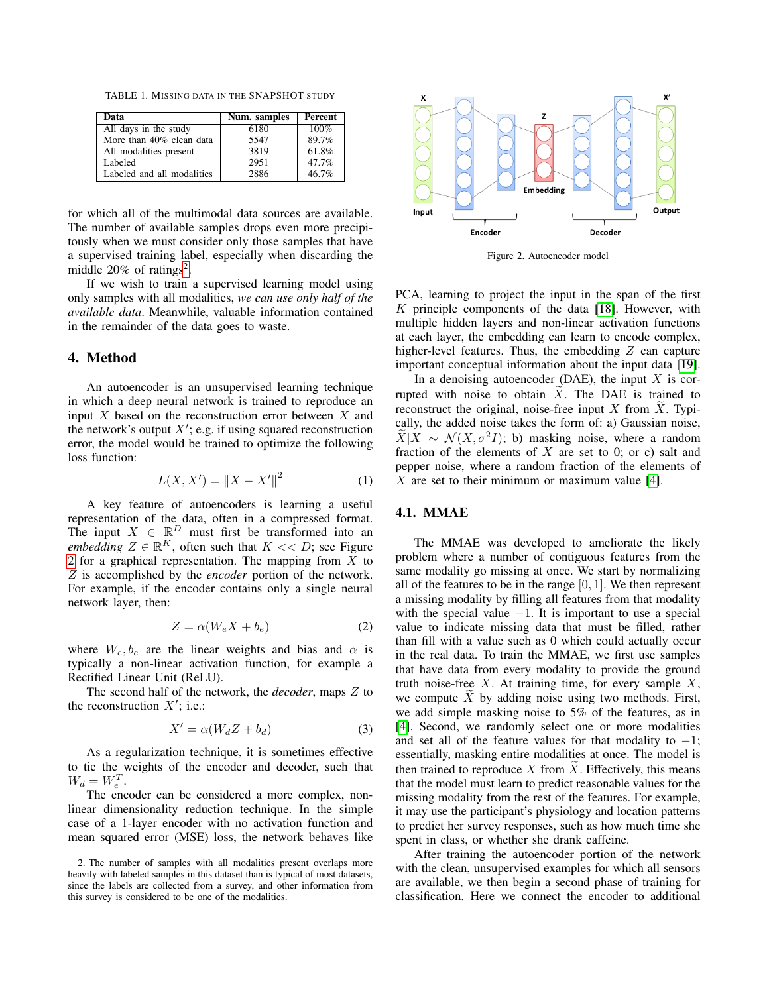TABLE 1. MISSING DATA IN THE SNAPSHOT STUDY

<span id="page-2-0"></span>

| Data                       | Num. samples | Percent |
|----------------------------|--------------|---------|
| All days in the study      | 6180         | 100%    |
| More than 40% clean data   | 5547         | 89.7%   |
| All modalities present     | 3819         | 61.8%   |
| Labeled                    | 2951         | 47.7%   |
| Labeled and all modalities | 2886         | 46.7%   |

for which all of the multimodal data sources are available. The number of available samples drops even more precipitously when we must consider only those samples that have a supervised training label, especially when discarding the middle [2](#page-2-1)0% of ratings<sup>2</sup>.

If we wish to train a supervised learning model using only samples with all modalities, *we can use only half of the available data*. Meanwhile, valuable information contained in the remainder of the data goes to waste.

# 4. Method

An autoencoder is an unsupervised learning technique in which a deep neural network is trained to reproduce an input  $X$  based on the reconstruction error between  $X$  and the network's output  $X'$ ; e.g. if using squared reconstruction error, the model would be trained to optimize the following loss function:

$$
L(X, X') = ||X - X'||^{2}
$$
 (1)

A key feature of autoencoders is learning a useful representation of the data, often in a compressed format. The input  $X \in \mathbb{R}^D$  must first be transformed into an *embedding*  $Z \in \mathbb{R}^K$ , often such that  $K \ll D$ ; see Figure [2](#page-2-2) for a graphical representation. The mapping from  $X$  to Z is accomplished by the *encoder* portion of the network. For example, if the encoder contains only a single neural network layer, then:

$$
Z = \alpha (W_e X + b_e) \tag{2}
$$

where  $W_e, b_e$  are the linear weights and bias and  $\alpha$  is typically a non-linear activation function, for example a Rectified Linear Unit (ReLU).

The second half of the network, the *decoder*, maps Z to the reconstruction  $X'$ ; i.e.:

$$
X' = \alpha (W_d Z + b_d) \tag{3}
$$

As a regularization technique, it is sometimes effective to tie the weights of the encoder and decoder, such that  $W_d = W_e^T$ .

The encoder can be considered a more complex, nonlinear dimensionality reduction technique. In the simple case of a 1-layer encoder with no activation function and mean squared error (MSE) loss, the network behaves like



<span id="page-2-2"></span>Figure 2. Autoencoder model

PCA, learning to project the input in the span of the first  $K$  principle components of the data [\[18\]](#page-6-17). However, with multiple hidden layers and non-linear activation functions at each layer, the embedding can learn to encode complex, higher-level features. Thus, the embedding  $Z$  can capture important conceptual information about the input data [\[19\]](#page-6-18).

In a denoising autoencoder (DAE), the input  $X$  is corrupted with noise to obtain  $X$ . The DAE is trained to reconstruct the original, noise-free input X from  $\tilde{X}$ . Typically, the added noise takes the form of: a) Gaussian noise,  $\widetilde{X}|X \sim \mathcal{N}(X, \sigma^2 I)$ ; b) masking noise, where a random fraction of the elements of  $X$  are set to 0; or c) salt and pepper noise, where a random fraction of the elements of X are set to their minimum or maximum value [\[4\]](#page-6-3).

# <span id="page-2-3"></span>4.1. MMAE

The MMAE was developed to ameliorate the likely problem where a number of contiguous features from the same modality go missing at once. We start by normalizing all of the features to be in the range  $[0, 1]$ . We then represent a missing modality by filling all features from that modality with the special value  $-1$ . It is important to use a special value to indicate missing data that must be filled, rather than fill with a value such as 0 which could actually occur in the real data. To train the MMAE, we first use samples that have data from every modality to provide the ground truth noise-free  $X$ . At training time, for every sample  $X$ , we compute  $X$  by adding noise using two methods. First, we add simple masking noise to 5% of the features, as in [\[4\]](#page-6-3). Second, we randomly select one or more modalities and set all of the feature values for that modality to  $-1$ ; essentially, masking entire modalities at once. The model is then trained to reproduce  $X$  from  $X$ . Effectively, this means that the model must learn to predict reasonable values for the missing modality from the rest of the features. For example, it may use the participant's physiology and location patterns to predict her survey responses, such as how much time she spent in class, or whether she drank caffeine.

After training the autoencoder portion of the network with the clean, unsupervised examples for which all sensors are available, we then begin a second phase of training for classification. Here we connect the encoder to additional

<span id="page-2-1"></span><sup>2.</sup> The number of samples with all modalities present overlaps more heavily with labeled samples in this dataset than is typical of most datasets, since the labels are collected from a survey, and other information from this survey is considered to be one of the modalities.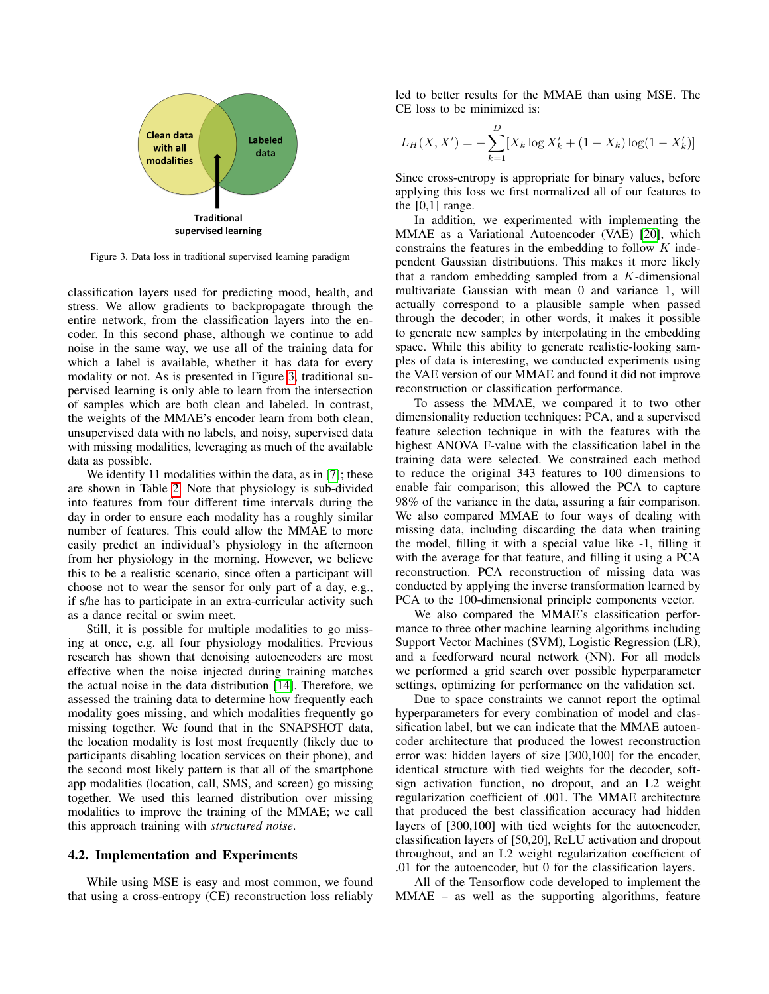

Figure 3. Data loss in traditional supervised learning paradigm

classification layers used for predicting mood, health, and stress. We allow gradients to backpropagate through the entire network, from the classification layers into the encoder. In this second phase, although we continue to add noise in the same way, we use all of the training data for which a label is available, whether it has data for every modality or not. As is presented in Figure [3,](#page-3-0) traditional supervised learning is only able to learn from the intersection of samples which are both clean and labeled. In contrast, the weights of the MMAE's encoder learn from both clean, unsupervised data with no labels, and noisy, supervised data with missing modalities, leveraging as much of the available data as possible.

We identify 11 modalities within the data, as in [\[7\]](#page-6-6); these are shown in Table [2.](#page-4-0) Note that physiology is sub-divided into features from four different time intervals during the day in order to ensure each modality has a roughly similar number of features. This could allow the MMAE to more easily predict an individual's physiology in the afternoon from her physiology in the morning. However, we believe this to be a realistic scenario, since often a participant will choose not to wear the sensor for only part of a day, e.g., if s/he has to participate in an extra-curricular activity such as a dance recital or swim meet.

Still, it is possible for multiple modalities to go missing at once, e.g. all four physiology modalities. Previous research has shown that denoising autoencoders are most effective when the noise injected during training matches the actual noise in the data distribution [\[14\]](#page-6-13). Therefore, we assessed the training data to determine how frequently each modality goes missing, and which modalities frequently go missing together. We found that in the SNAPSHOT data, the location modality is lost most frequently (likely due to participants disabling location services on their phone), and the second most likely pattern is that all of the smartphone app modalities (location, call, SMS, and screen) go missing together. We used this learned distribution over missing modalities to improve the training of the MMAE; we call this approach training with *structured noise*.

#### 4.2. Implementation and Experiments

While using MSE is easy and most common, we found that using a cross-entropy (CE) reconstruction loss reliably led to better results for the MMAE than using MSE. The CE loss to be minimized is:

$$
L_H(X, X') = -\sum_{k=1}^{D} [X_k \log X'_k + (1 - X_k) \log(1 - X'_k)]
$$

Since cross-entropy is appropriate for binary values, before applying this loss we first normalized all of our features to the  $[0,1]$  range.

<span id="page-3-0"></span>In addition, we experimented with implementing the MMAE as a Variational Autoencoder (VAE) [\[20\]](#page-6-19), which constrains the features in the embedding to follow  $K$  independent Gaussian distributions. This makes it more likely that a random embedding sampled from a  $K$ -dimensional multivariate Gaussian with mean 0 and variance 1, will actually correspond to a plausible sample when passed through the decoder; in other words, it makes it possible to generate new samples by interpolating in the embedding space. While this ability to generate realistic-looking samples of data is interesting, we conducted experiments using the VAE version of our MMAE and found it did not improve reconstruction or classification performance.

To assess the MMAE, we compared it to two other dimensionality reduction techniques: PCA, and a supervised feature selection technique in with the features with the highest ANOVA F-value with the classification label in the training data were selected. We constrained each method to reduce the original 343 features to 100 dimensions to enable fair comparison; this allowed the PCA to capture 98% of the variance in the data, assuring a fair comparison. We also compared MMAE to four ways of dealing with missing data, including discarding the data when training the model, filling it with a special value like -1, filling it with the average for that feature, and filling it using a PCA reconstruction. PCA reconstruction of missing data was conducted by applying the inverse transformation learned by PCA to the 100-dimensional principle components vector.

We also compared the MMAE's classification performance to three other machine learning algorithms including Support Vector Machines (SVM), Logistic Regression (LR), and a feedforward neural network (NN). For all models we performed a grid search over possible hyperparameter settings, optimizing for performance on the validation set.

Due to space constraints we cannot report the optimal hyperparameters for every combination of model and classification label, but we can indicate that the MMAE autoencoder architecture that produced the lowest reconstruction error was: hidden layers of size [300,100] for the encoder, identical structure with tied weights for the decoder, softsign activation function, no dropout, and an L2 weight regularization coefficient of .001. The MMAE architecture that produced the best classification accuracy had hidden layers of [300,100] with tied weights for the autoencoder, classification layers of [50,20], ReLU activation and dropout throughout, and an L2 weight regularization coefficient of .01 for the autoencoder, but 0 for the classification layers.

All of the Tensorflow code developed to implement the MMAE – as well as the supporting algorithms, feature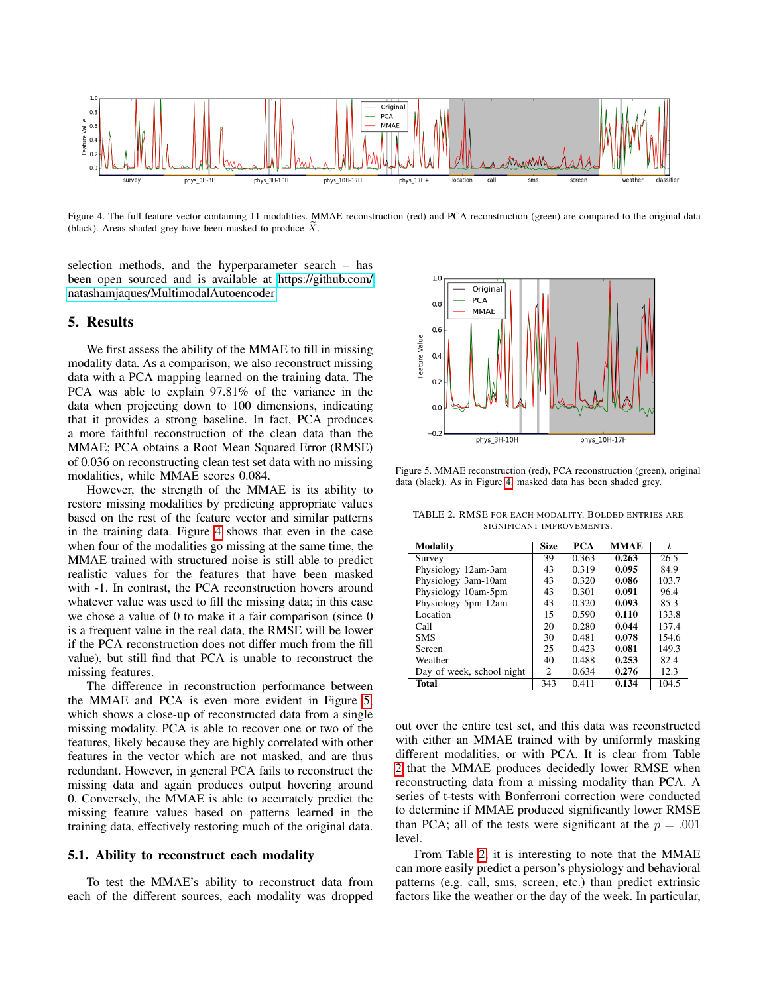

Figure 4. The full feature vector containing 11 modalities. MMAE reconstruction (red) and PCA reconstruction (green) are compared to the original data (black). Areas shaded grey have been masked to produce  $\tilde{X}$ .

selection methods, and the hyperparameter search – has been open sourced and is available at [https://github.com/](https://github.com/natashamjaques/MultimodalAutoencoder) [natashamjaques/MultimodalAutoencoder.](https://github.com/natashamjaques/MultimodalAutoencoder)

#### 5. Results

We first assess the ability of the MMAE to fill in missing modality data. As a comparison, we also reconstruct missing data with a PCA mapping learned on the training data. The PCA was able to explain 97.81% of the variance in the data when projecting down to 100 dimensions, indicating that it provides a strong baseline. In fact, PCA produces a more faithful reconstruction of the clean data than the MMAE; PCA obtains a Root Mean Squared Error (RMSE) of 0.036 on reconstructing clean test set data with no missing modalities, while MMAE scores 0.084.

However, the strength of the MMAE is its ability to restore missing modalities by predicting appropriate values based on the rest of the feature vector and similar patterns in the training data. Figure [4](#page-4-1) shows that even in the case when four of the modalities go missing at the same time, the MMAE trained with structured noise is still able to predict realistic values for the features that have been masked with -1. In contrast, the PCA reconstruction hovers around whatever value was used to fill the missing data; in this case we chose a value of 0 to make it a fair comparison (since 0 is a frequent value in the real data, the RMSE will be lower if the PCA reconstruction does not differ much from the fill value), but still find that PCA is unable to reconstruct the missing features.

The difference in reconstruction performance between the MMAE and PCA is even more evident in Figure [5,](#page-4-2) which shows a close-up of reconstructed data from a single missing modality. PCA is able to recover one or two of the features, likely because they are highly correlated with other features in the vector which are not masked, and are thus redundant. However, in general PCA fails to reconstruct the missing data and again produces output hovering around 0. Conversely, the MMAE is able to accurately predict the missing feature values based on patterns learned in the training data, effectively restoring much of the original data.

#### 5.1. Ability to reconstruct each modality

To test the MMAE's ability to reconstruct data from each of the different sources, each modality was dropped

<span id="page-4-1"></span>

Figure 5. MMAE reconstruction (red), PCA reconstruction (green), original data (black). As in Figure [4,](#page-4-1) masked data has been shaded grey.

<span id="page-4-2"></span><span id="page-4-0"></span>TABLE 2. RMSE FOR EACH MODALITY. BOLDED ENTRIES ARE SIGNIFICANT IMPROVEMENTS.

| <b>Modality</b>           | <b>Size</b>    | <b>PCA</b> | <b>MMAE</b> | t.    |
|---------------------------|----------------|------------|-------------|-------|
| Survey                    | 39             | 0.363      | 0.263       | 26.5  |
| Physiology 12am-3am       | 43             | 0.319      | 0.095       | 84.9  |
| Physiology 3am-10am       | 43             | 0.320      | 0.086       | 103.7 |
| Physiology 10am-5pm       | 43             | 0.301      | 0.091       | 96.4  |
| Physiology 5pm-12am       | 43             | 0.320      | 0.093       | 85.3  |
| Location                  | 15             | 0.590      | 0.110       | 133.8 |
| Call                      | 20             | 0.280      | 0.044       | 137.4 |
| <b>SMS</b>                | 30             | 0.481      | 0.078       | 154.6 |
| Screen                    | 25             | 0.423      | 0.081       | 149.3 |
| Weather                   | 40             | 0.488      | 0.253       | 82.4  |
| Day of week, school night | $\overline{c}$ | 0.634      | 0.276       | 12.3  |
| <b>Total</b>              | 343            | 0.411      | 0.134       | 104.5 |

out over the entire test set, and this data was reconstructed with either an MMAE trained with by uniformly masking different modalities, or with PCA. It is clear from Table [2](#page-4-0) that the MMAE produces decidedly lower RMSE when reconstructing data from a missing modality than PCA. A series of t-tests with Bonferroni correction were conducted to determine if MMAE produced significantly lower RMSE than PCA; all of the tests were significant at the  $p = .001$ level.

From Table [2,](#page-4-0) it is interesting to note that the MMAE can more easily predict a person's physiology and behavioral patterns (e.g. call, sms, screen, etc.) than predict extrinsic factors like the weather or the day of the week. In particular,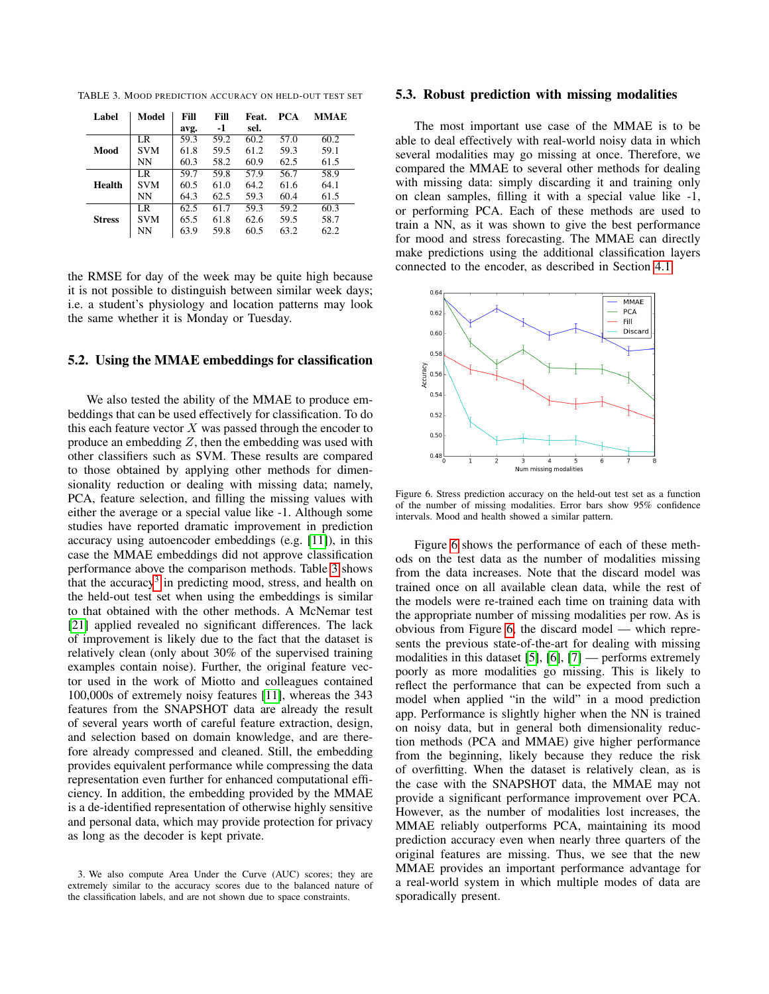<span id="page-5-0"></span>TABLE 3. MOOD PREDICTION ACCURACY ON HELD-OUT TEST SET

| Label         | Model      | Fill | Fill | Feat. | <b>PCA</b> | <b>MMAE</b> |
|---------------|------------|------|------|-------|------------|-------------|
|               |            | avg. | $-1$ | sel.  |            |             |
| Mood          | LR         | 59.3 | 59.2 | 60.2  | 57.0       | 60.2        |
|               | <b>SVM</b> | 61.8 | 59.5 | 61.2  | 59.3       | 59.1        |
|               | NN         | 60.3 | 58.2 | 60.9  | 62.5       | 61.5        |
|               | LR         | 59.7 | 59.8 | 57.9  | 56.7       | 58.9        |
| Health        | <b>SVM</b> | 60.5 | 61.0 | 64.2  | 61.6       | 64.1        |
|               | NN         | 64.3 | 62.5 | 59.3  | 60.4       | 61.5        |
| <b>Stress</b> | LR         | 62.5 | 61.7 | 59.3  | 59.2       | 60.3        |
|               | <b>SVM</b> | 65.5 | 61.8 | 62.6  | 59.5       | 58.7        |
|               | NN         | 63.9 | 59.8 | 60.5  | 63.2       | 62.2        |

the RMSE for day of the week may be quite high because it is not possible to distinguish between similar week days; i.e. a student's physiology and location patterns may look the same whether it is Monday or Tuesday.

#### 5.2. Using the MMAE embeddings for classification

We also tested the ability of the MMAE to produce embeddings that can be used effectively for classification. To do this each feature vector  $X$  was passed through the encoder to produce an embedding  $Z$ , then the embedding was used with other classifiers such as SVM. These results are compared to those obtained by applying other methods for dimensionality reduction or dealing with missing data; namely, PCA, feature selection, and filling the missing values with either the average or a special value like -1. Although some studies have reported dramatic improvement in prediction accuracy using autoencoder embeddings (e.g. [\[11\]](#page-6-11)), in this case the MMAE embeddings did not approve classification performance above the comparison methods. Table [3](#page-5-0) shows that the accuracy<sup>[3](#page-5-1)</sup> in predicting mood, stress, and health on the held-out test set when using the embeddings is similar to that obtained with the other methods. A McNemar test [\[21\]](#page-6-20) applied revealed no significant differences. The lack of improvement is likely due to the fact that the dataset is relatively clean (only about 30% of the supervised training examples contain noise). Further, the original feature vector used in the work of Miotto and colleagues contained 100,000s of extremely noisy features [\[11\]](#page-6-11), whereas the 343 features from the SNAPSHOT data are already the result of several years worth of careful feature extraction, design, and selection based on domain knowledge, and are therefore already compressed and cleaned. Still, the embedding provides equivalent performance while compressing the data representation even further for enhanced computational efficiency. In addition, the embedding provided by the MMAE is a de-identified representation of otherwise highly sensitive and personal data, which may provide protection for privacy as long as the decoder is kept private.

#### 5.3. Robust prediction with missing modalities

The most important use case of the MMAE is to be able to deal effectively with real-world noisy data in which several modalities may go missing at once. Therefore, we compared the MMAE to several other methods for dealing with missing data: simply discarding it and training only on clean samples, filling it with a special value like -1, or performing PCA. Each of these methods are used to train a NN, as it was shown to give the best performance for mood and stress forecasting. The MMAE can directly make predictions using the additional classification layers connected to the encoder, as described in Section [4.1.](#page-2-3)



<span id="page-5-2"></span>Figure 6. Stress prediction accuracy on the held-out test set as a function of the number of missing modalities. Error bars show 95% confidence intervals. Mood and health showed a similar pattern.

Figure [6](#page-5-2) shows the performance of each of these methods on the test data as the number of modalities missing from the data increases. Note that the discard model was trained once on all available clean data, while the rest of the models were re-trained each time on training data with the appropriate number of missing modalities per row. As is obvious from Figure [6,](#page-5-2) the discard model — which represents the previous state-of-the-art for dealing with missing modalities in this dataset [\[5\]](#page-6-4), [\[6\]](#page-6-5), [\[7\]](#page-6-6) — performs extremely poorly as more modalities go missing. This is likely to reflect the performance that can be expected from such a model when applied "in the wild" in a mood prediction app. Performance is slightly higher when the NN is trained on noisy data, but in general both dimensionality reduction methods (PCA and MMAE) give higher performance from the beginning, likely because they reduce the risk of overfitting. When the dataset is relatively clean, as is the case with the SNAPSHOT data, the MMAE may not provide a significant performance improvement over PCA. However, as the number of modalities lost increases, the MMAE reliably outperforms PCA, maintaining its mood prediction accuracy even when nearly three quarters of the original features are missing. Thus, we see that the new MMAE provides an important performance advantage for a real-world system in which multiple modes of data are sporadically present.

<span id="page-5-1"></span><sup>3.</sup> We also compute Area Under the Curve (AUC) scores; they are extremely similar to the accuracy scores due to the balanced nature of the classification labels, and are not shown due to space constraints.